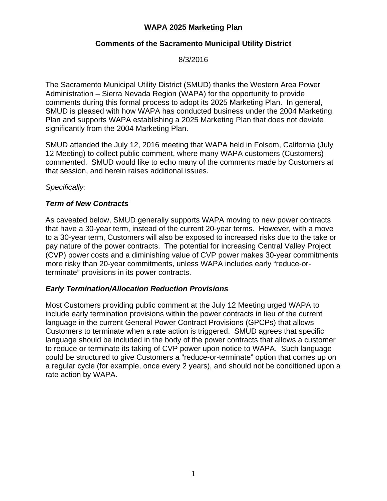# **WAPA 2025 Marketing Plan**

## **Comments of the Sacramento Municipal Utility District**

8/3/2016

The Sacramento Municipal Utility District (SMUD) thanks the Western Area Power Administration – Sierra Nevada Region (WAPA) for the opportunity to provide comments during this formal process to adopt its 2025 Marketing Plan. In general, SMUD is pleased with how WAPA has conducted business under the 2004 Marketing Plan and supports WAPA establishing a 2025 Marketing Plan that does not deviate significantly from the 2004 Marketing Plan.

SMUD attended the July 12, 2016 meeting that WAPA held in Folsom, California (July 12 Meeting) to collect public comment, where many WAPA customers (Customers) commented. SMUD would like to echo many of the comments made by Customers at that session, and herein raises additional issues.

#### *Specifically:*

### *Term of New Contracts*

As caveated below, SMUD generally supports WAPA moving to new power contracts that have a 30-year term, instead of the current 20-year terms. However, with a move to a 30-year term, Customers will also be exposed to increased risks due to the take or pay nature of the power contracts. The potential for increasing Central Valley Project (CVP) power costs and a diminishing value of CVP power makes 30-year commitments more risky than 20-year commitments, unless WAPA includes early "reduce-orterminate" provisions in its power contracts.

#### *Early Termination/Allocation Reduction Provisions*

Most Customers providing public comment at the July 12 Meeting urged WAPA to include early termination provisions within the power contracts in lieu of the current language in the current General Power Contract Provisions (GPCPs) that allows Customers to terminate when a rate action is triggered. SMUD agrees that specific language should be included in the body of the power contracts that allows a customer to reduce or terminate its taking of CVP power upon notice to WAPA. Such language could be structured to give Customers a "reduce-or-terminate" option that comes up on a regular cycle (for example, once every 2 years), and should not be conditioned upon a rate action by WAPA.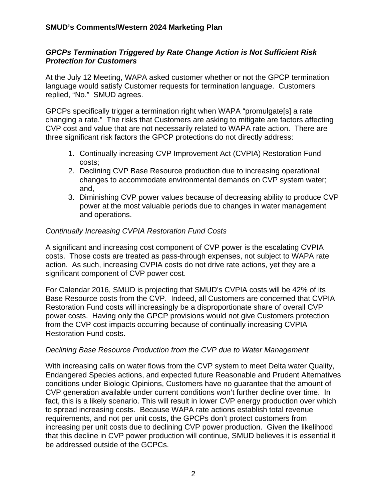### *GPCPs Termination Triggered by Rate Change Action is Not Sufficient Risk Protection for Customers*

At the July 12 Meeting, WAPA asked customer whether or not the GPCP termination language would satisfy Customer requests for termination language. Customers replied, "No." SMUD agrees.

GPCPs specifically trigger a termination right when WAPA "promulgate[s] a rate changing a rate." The risks that Customers are asking to mitigate are factors affecting CVP cost and value that are not necessarily related to WAPA rate action. There are three significant risk factors the GPCP protections do not directly address:

- 1. Continually increasing CVP Improvement Act (CVPIA) Restoration Fund costs;
- 2. Declining CVP Base Resource production due to increasing operational changes to accommodate environmental demands on CVP system water; and,
- 3. Diminishing CVP power values because of decreasing ability to produce CVP power at the most valuable periods due to changes in water management and operations.

### *Continually Increasing CVPIA Restoration Fund Costs*

A significant and increasing cost component of CVP power is the escalating CVPIA costs. Those costs are treated as pass-through expenses, not subject to WAPA rate action. As such, increasing CVPIA costs do not drive rate actions, yet they are a significant component of CVP power cost.

For Calendar 2016, SMUD is projecting that SMUD's CVPIA costs will be 42% of its Base Resource costs from the CVP. Indeed, all Customers are concerned that CVPIA Restoration Fund costs will increasingly be a disproportionate share of overall CVP power costs. Having only the GPCP provisions would not give Customers protection from the CVP cost impacts occurring because of continually increasing CVPIA Restoration Fund costs.

#### *Declining Base Resource Production from the CVP due to Water Management*

With increasing calls on water flows from the CVP system to meet Delta water Quality, Endangered Species actions, and expected future Reasonable and Prudent Alternatives conditions under Biologic Opinions, Customers have no guarantee that the amount of CVP generation available under current conditions won't further decline over time. In fact, this is a likely scenario. This will result in lower CVP energy production over which to spread increasing costs. Because WAPA rate actions establish total revenue requirements, and not per unit costs, the GPCPs don't protect customers from increasing per unit costs due to declining CVP power production. Given the likelihood that this decline in CVP power production will continue, SMUD believes it is essential it be addressed outside of the GCPCs.